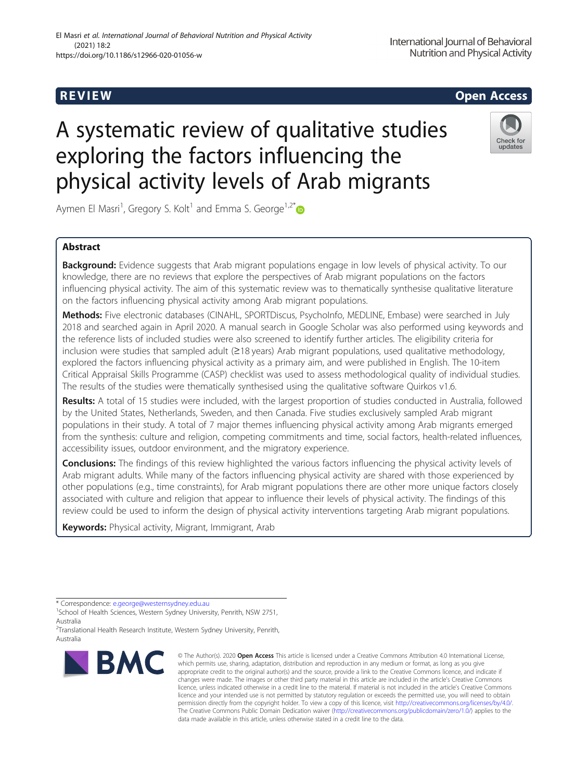# R EVI EW Open Access

# A systematic review of qualitative studies exploring the factors influencing the physical activity levels of Arab migrants



Aymen El Masri<sup>1</sup>, Gregory S. Kolt<sup>1</sup> and Emma S. George<sup>1,2\*</sup>

## Abstract

Background: Evidence suggests that Arab migrant populations engage in low levels of physical activity. To our knowledge, there are no reviews that explore the perspectives of Arab migrant populations on the factors influencing physical activity. The aim of this systematic review was to thematically synthesise qualitative literature on the factors influencing physical activity among Arab migrant populations.

Methods: Five electronic databases (CINAHL, SPORTDiscus, PsychoInfo, MEDLINE, Embase) were searched in July 2018 and searched again in April 2020. A manual search in Google Scholar was also performed using keywords and the reference lists of included studies were also screened to identify further articles. The eligibility criteria for inclusion were studies that sampled adult (≥18 years) Arab migrant populations, used qualitative methodology, explored the factors influencing physical activity as a primary aim, and were published in English. The 10-item Critical Appraisal Skills Programme (CASP) checklist was used to assess methodological quality of individual studies. The results of the studies were thematically synthesised using the qualitative software Quirkos v1.6.

Results: A total of 15 studies were included, with the largest proportion of studies conducted in Australia, followed by the United States, Netherlands, Sweden, and then Canada. Five studies exclusively sampled Arab migrant populations in their study. A total of 7 major themes influencing physical activity among Arab migrants emerged from the synthesis: culture and religion, competing commitments and time, social factors, health-related influences, accessibility issues, outdoor environment, and the migratory experience.

Conclusions: The findings of this review highlighted the various factors influencing the physical activity levels of Arab migrant adults. While many of the factors influencing physical activity are shared with those experienced by other populations (e.g., time constraints), for Arab migrant populations there are other more unique factors closely associated with culture and religion that appear to influence their levels of physical activity. The findings of this review could be used to inform the design of physical activity interventions targeting Arab migrant populations.

Keywords: Physical activity, Migrant, Immigrant, Arab

<sup>&</sup>lt;sup>2</sup>Translational Health Research Institute, Western Sydney University, Penrith, Australia



<sup>©</sup> The Author(s). 2020 Open Access This article is licensed under a Creative Commons Attribution 4.0 International License, which permits use, sharing, adaptation, distribution and reproduction in any medium or format, as long as you give appropriate credit to the original author(s) and the source, provide a link to the Creative Commons licence, and indicate if changes were made. The images or other third party material in this article are included in the article's Creative Commons licence, unless indicated otherwise in a credit line to the material. If material is not included in the article's Creative Commons licence and your intended use is not permitted by statutory regulation or exceeds the permitted use, you will need to obtain permission directly from the copyright holder. To view a copy of this licence, visit [http://creativecommons.org/licenses/by/4.0/.](http://creativecommons.org/licenses/by/4.0/) The Creative Commons Public Domain Dedication waiver [\(http://creativecommons.org/publicdomain/zero/1.0/](http://creativecommons.org/publicdomain/zero/1.0/)) applies to the data made available in this article, unless otherwise stated in a credit line to the data.

<sup>\*</sup> Correspondence: [e.george@westernsydney.edu.au](mailto:e.george@westernsydney.edu.au) <sup>1</sup>

<sup>&</sup>lt;sup>1</sup>School of Health Sciences, Western Sydney University, Penrith, NSW 2751, Australia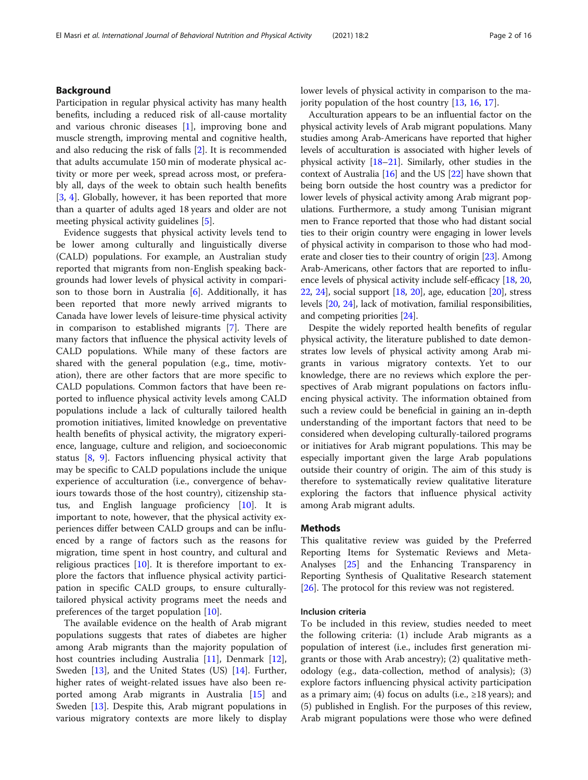### Background

Participation in regular physical activity has many health benefits, including a reduced risk of all-cause mortality and various chronic diseases [[1\]](#page-14-0), improving bone and muscle strength, improving mental and cognitive health, and also reducing the risk of falls [[2\]](#page-14-0). It is recommended that adults accumulate 150 min of moderate physical activity or more per week, spread across most, or preferably all, days of the week to obtain such health benefits [[3,](#page-14-0) [4](#page-14-0)]. Globally, however, it has been reported that more than a quarter of adults aged 18 years and older are not meeting physical activity guidelines [\[5](#page-14-0)].

Evidence suggests that physical activity levels tend to be lower among culturally and linguistically diverse (CALD) populations. For example, an Australian study reported that migrants from non-English speaking backgrounds had lower levels of physical activity in comparison to those born in Australia  $[6]$  $[6]$ . Additionally, it has been reported that more newly arrived migrants to Canada have lower levels of leisure-time physical activity in comparison to established migrants [\[7](#page-14-0)]. There are many factors that influence the physical activity levels of CALD populations. While many of these factors are shared with the general population (e.g., time, motivation), there are other factors that are more specific to CALD populations. Common factors that have been reported to influence physical activity levels among CALD populations include a lack of culturally tailored health promotion initiatives, limited knowledge on preventative health benefits of physical activity, the migratory experience, language, culture and religion, and socioeconomic status [[8,](#page-14-0) [9\]](#page-14-0). Factors influencing physical activity that may be specific to CALD populations include the unique experience of acculturation (i.e., convergence of behaviours towards those of the host country), citizenship status, and English language proficiency [[10\]](#page-14-0). It is important to note, however, that the physical activity experiences differ between CALD groups and can be influenced by a range of factors such as the reasons for migration, time spent in host country, and cultural and religious practices [[10\]](#page-14-0). It is therefore important to explore the factors that influence physical activity participation in specific CALD groups, to ensure culturallytailored physical activity programs meet the needs and preferences of the target population [[10](#page-14-0)].

The available evidence on the health of Arab migrant populations suggests that rates of diabetes are higher among Arab migrants than the majority population of host countries including Australia [\[11](#page-14-0)], Denmark [\[12](#page-14-0)], Sweden [[13](#page-14-0)], and the United States (US) [\[14](#page-14-0)]. Further, higher rates of weight-related issues have also been reported among Arab migrants in Australia [[15\]](#page-14-0) and Sweden [\[13](#page-14-0)]. Despite this, Arab migrant populations in various migratory contexts are more likely to display lower levels of physical activity in comparison to the majority population of the host country [[13,](#page-14-0) [16](#page-14-0), [17](#page-14-0)].

Acculturation appears to be an influential factor on the physical activity levels of Arab migrant populations. Many studies among Arab-Americans have reported that higher levels of acculturation is associated with higher levels of physical activity [[18](#page-14-0)–[21\]](#page-14-0). Similarly, other studies in the context of Australia  $[16]$  and the US  $[22]$  have shown that being born outside the host country was a predictor for lower levels of physical activity among Arab migrant populations. Furthermore, a study among Tunisian migrant men to France reported that those who had distant social ties to their origin country were engaging in lower levels of physical activity in comparison to those who had moderate and closer ties to their country of origin [\[23\]](#page-14-0). Among Arab-Americans, other factors that are reported to influence levels of physical activity include self-efficacy [\[18,](#page-14-0) [20](#page-14-0), [22](#page-14-0), [24](#page-14-0)], social support [[18](#page-14-0), [20\]](#page-14-0), age, education [\[20\]](#page-14-0), stress levels [[20](#page-14-0), [24](#page-14-0)], lack of motivation, familial responsibilities, and competing priorities [[24](#page-14-0)].

Despite the widely reported health benefits of regular physical activity, the literature published to date demonstrates low levels of physical activity among Arab migrants in various migratory contexts. Yet to our knowledge, there are no reviews which explore the perspectives of Arab migrant populations on factors influencing physical activity. The information obtained from such a review could be beneficial in gaining an in-depth understanding of the important factors that need to be considered when developing culturally-tailored programs or initiatives for Arab migrant populations. This may be especially important given the large Arab populations outside their country of origin. The aim of this study is therefore to systematically review qualitative literature exploring the factors that influence physical activity among Arab migrant adults.

#### **Methods**

This qualitative review was guided by the Preferred Reporting Items for Systematic Reviews and Meta-Analyses [\[25](#page-14-0)] and the Enhancing Transparency in Reporting Synthesis of Qualitative Research statement [[26\]](#page-14-0). The protocol for this review was not registered.

#### Inclusion criteria

To be included in this review, studies needed to meet the following criteria: (1) include Arab migrants as a population of interest (i.e., includes first generation migrants or those with Arab ancestry); (2) qualitative methodology (e.g., data-collection, method of analysis); (3) explore factors influencing physical activity participation as a primary aim; (4) focus on adults (i.e.,  $\geq 18$  years); and (5) published in English. For the purposes of this review, Arab migrant populations were those who were defined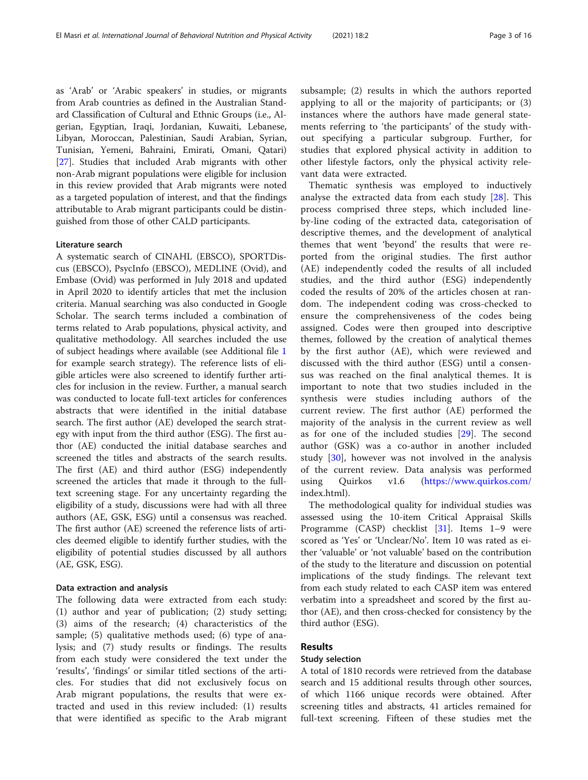as 'Arab' or 'Arabic speakers' in studies, or migrants from Arab countries as defined in the Australian Standard Classification of Cultural and Ethnic Groups (i.e., Algerian, Egyptian, Iraqi, Jordanian, Kuwaiti, Lebanese, Libyan, Moroccan, Palestinian, Saudi Arabian, Syrian, Tunisian, Yemeni, Bahraini, Emirati, Omani, Qatari) [[27\]](#page-14-0). Studies that included Arab migrants with other non-Arab migrant populations were eligible for inclusion in this review provided that Arab migrants were noted as a targeted population of interest, and that the findings attributable to Arab migrant participants could be distinguished from those of other CALD participants.

#### Literature search

A systematic search of CINAHL (EBSCO), SPORTDiscus (EBSCO), PsycInfo (EBSCO), MEDLINE (Ovid), and Embase (Ovid) was performed in July 2018 and updated in April 2020 to identify articles that met the inclusion criteria. Manual searching was also conducted in Google Scholar. The search terms included a combination of terms related to Arab populations, physical activity, and qualitative methodology. All searches included the use of subject headings where available (see Additional file [1](#page-13-0) for example search strategy). The reference lists of eligible articles were also screened to identify further articles for inclusion in the review. Further, a manual search was conducted to locate full-text articles for conferences abstracts that were identified in the initial database search. The first author (AE) developed the search strategy with input from the third author (ESG). The first author (AE) conducted the initial database searches and screened the titles and abstracts of the search results. The first (AE) and third author (ESG) independently screened the articles that made it through to the fulltext screening stage. For any uncertainty regarding the eligibility of a study, discussions were had with all three authors (AE, GSK, ESG) until a consensus was reached. The first author (AE) screened the reference lists of articles deemed eligible to identify further studies, with the eligibility of potential studies discussed by all authors (AE, GSK, ESG).

#### Data extraction and analysis

The following data were extracted from each study: (1) author and year of publication; (2) study setting; (3) aims of the research; (4) characteristics of the sample; (5) qualitative methods used; (6) type of analysis; and (7) study results or findings. The results from each study were considered the text under the 'results', 'findings' or similar titled sections of the articles. For studies that did not exclusively focus on Arab migrant populations, the results that were extracted and used in this review included: (1) results that were identified as specific to the Arab migrant subsample; (2) results in which the authors reported applying to all or the majority of participants; or (3) instances where the authors have made general statements referring to 'the participants' of the study without specifying a particular subgroup. Further, for studies that explored physical activity in addition to other lifestyle factors, only the physical activity relevant data were extracted.

Thematic synthesis was employed to inductively analyse the extracted data from each study [\[28](#page-14-0)]. This process comprised three steps, which included lineby-line coding of the extracted data, categorisation of descriptive themes, and the development of analytical themes that went 'beyond' the results that were reported from the original studies. The first author (AE) independently coded the results of all included studies, and the third author (ESG) independently coded the results of 20% of the articles chosen at random. The independent coding was cross-checked to ensure the comprehensiveness of the codes being assigned. Codes were then grouped into descriptive themes, followed by the creation of analytical themes by the first author (AE), which were reviewed and discussed with the third author (ESG) until a consensus was reached on the final analytical themes. It is important to note that two studies included in the synthesis were studies including authors of the current review. The first author (AE) performed the majority of the analysis in the current review as well as for one of the included studies [[29](#page-14-0)]. The second author (GSK) was a co-author in another included study [\[30](#page-14-0)], however was not involved in the analysis of the current review. Data analysis was performed using Quirkos v1.6 (<https://www.quirkos.com/> index.html).

The methodological quality for individual studies was assessed using the 10-item Critical Appraisal Skills Programme (CASP) checklist [[31](#page-14-0)]. Items 1–9 were scored as 'Yes' or 'Unclear/No'. Item 10 was rated as either 'valuable' or 'not valuable' based on the contribution of the study to the literature and discussion on potential implications of the study findings. The relevant text from each study related to each CASP item was entered verbatim into a spreadsheet and scored by the first author (AE), and then cross-checked for consistency by the third author (ESG).

### Results

#### Study selection

A total of 1810 records were retrieved from the database search and 15 additional results through other sources, of which 1166 unique records were obtained. After screening titles and abstracts, 41 articles remained for full-text screening. Fifteen of these studies met the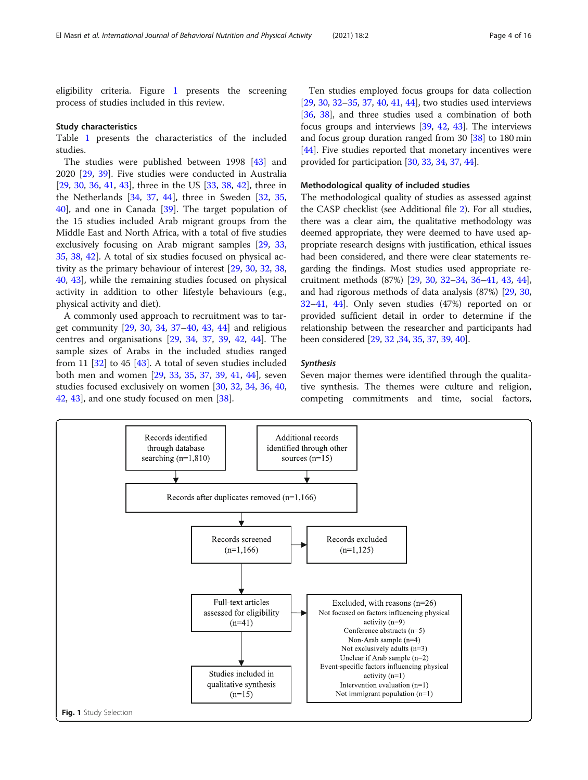eligibility criteria. Figure 1 presents the screening process of studies included in this review.

#### Study characteristics

Table [1](#page-4-0) presents the characteristics of the included studies.

The studies were published between 1998 [\[43\]](#page-14-0) and 2020 [[29](#page-14-0), [39](#page-14-0)]. Five studies were conducted in Australia [[29,](#page-14-0) [30,](#page-14-0) [36](#page-14-0), [41](#page-14-0), [43\]](#page-14-0), three in the US [\[33](#page-14-0), [38](#page-14-0), [42\]](#page-14-0), three in the Netherlands [[34,](#page-14-0) [37](#page-14-0), [44\]](#page-14-0), three in Sweden [[32,](#page-14-0) [35](#page-14-0), [40\]](#page-14-0), and one in Canada [[39\]](#page-14-0). The target population of the 15 studies included Arab migrant groups from the Middle East and North Africa, with a total of five studies exclusively focusing on Arab migrant samples [[29,](#page-14-0) [33](#page-14-0), [35,](#page-14-0) [38,](#page-14-0) [42\]](#page-14-0). A total of six studies focused on physical activity as the primary behaviour of interest [[29](#page-14-0), [30](#page-14-0), [32](#page-14-0), [38](#page-14-0), [40,](#page-14-0) [43](#page-14-0)], while the remaining studies focused on physical activity in addition to other lifestyle behaviours (e.g., physical activity and diet).

A commonly used approach to recruitment was to target community [\[29](#page-14-0), [30,](#page-14-0) [34](#page-14-0), [37](#page-14-0)–[40,](#page-14-0) [43,](#page-14-0) [44](#page-14-0)] and religious centres and organisations [[29,](#page-14-0) [34](#page-14-0), [37,](#page-14-0) [39](#page-14-0), [42,](#page-14-0) [44](#page-14-0)]. The sample sizes of Arabs in the included studies ranged from 11  $[32]$  $[32]$  to 45  $[43]$  $[43]$  $[43]$ . A total of seven studies included both men and women [[29,](#page-14-0) [33](#page-14-0), [35,](#page-14-0) [37](#page-14-0), [39](#page-14-0), [41,](#page-14-0) [44](#page-14-0)], seven studies focused exclusively on women [[30](#page-14-0), [32](#page-14-0), [34](#page-14-0), [36](#page-14-0), [40](#page-14-0), [42,](#page-14-0) [43](#page-14-0)], and one study focused on men [[38\]](#page-14-0).

Ten studies employed focus groups for data collection [[29](#page-14-0), [30](#page-14-0), [32](#page-14-0)–[35](#page-14-0), [37,](#page-14-0) [40](#page-14-0), [41,](#page-14-0) [44](#page-14-0)], two studies used interviews [[36](#page-14-0), [38\]](#page-14-0), and three studies used a combination of both focus groups and interviews [[39](#page-14-0), [42](#page-14-0), [43\]](#page-14-0). The interviews and focus group duration ranged from 30 [\[38\]](#page-14-0) to 180 min [[44](#page-14-0)]. Five studies reported that monetary incentives were provided for participation [\[30,](#page-14-0) [33,](#page-14-0) [34](#page-14-0), [37,](#page-14-0) [44\]](#page-14-0).

#### Methodological quality of included studies

The methodological quality of studies as assessed against the CASP checklist (see Additional file [2\)](#page-13-0). For all studies, there was a clear aim, the qualitative methodology was deemed appropriate, they were deemed to have used appropriate research designs with justification, ethical issues had been considered, and there were clear statements regarding the findings. Most studies used appropriate recruitment methods (87%) [[29](#page-14-0), [30,](#page-14-0) [32](#page-14-0)–[34,](#page-14-0) [36](#page-14-0)–[41](#page-14-0), [43,](#page-14-0) [44](#page-14-0)], and had rigorous methods of data analysis (87%) [\[29](#page-14-0), [30](#page-14-0), [32](#page-14-0)–[41,](#page-14-0) [44](#page-14-0)]. Only seven studies (47%) reported on or provided sufficient detail in order to determine if the relationship between the researcher and participants had been considered [\[29](#page-14-0), [32](#page-14-0) [,34,](#page-14-0) [35,](#page-14-0) [37](#page-14-0), [39,](#page-14-0) [40](#page-14-0)].

#### Synthesis

Seven major themes were identified through the qualitative synthesis. The themes were culture and religion, competing commitments and time, social factors,

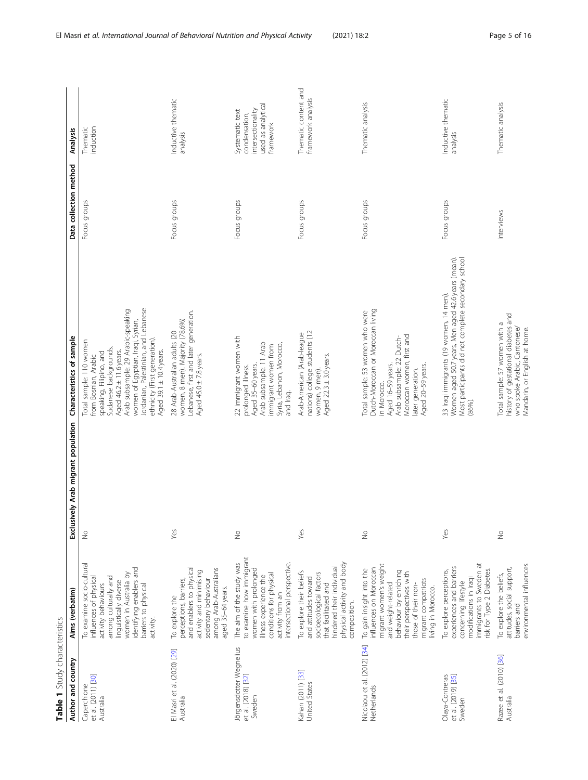<span id="page-4-0"></span>

| Table 1 Study characteristics                           |                                                                                                                                                                                                                             |                                     |                                                                                                                                                                                                                                                                                                                   |                        |                                                                                          |
|---------------------------------------------------------|-----------------------------------------------------------------------------------------------------------------------------------------------------------------------------------------------------------------------------|-------------------------------------|-------------------------------------------------------------------------------------------------------------------------------------------------------------------------------------------------------------------------------------------------------------------------------------------------------------------|------------------------|------------------------------------------------------------------------------------------|
| Author and country                                      | Aims (verbatim)                                                                                                                                                                                                             | Exclusively Arab migrant population | Characteristics of sample                                                                                                                                                                                                                                                                                         | Data collection method | Analysis                                                                                 |
| et al. (2011) [30]<br>Caperchione<br>Australia          | To examine socio-cultural<br>identifying enablers and<br>women in Australia by<br>among culturally and<br>influences of physical<br>linguistically diverse<br>barriers to physical<br>activity behaviours<br>activity.      | $\frac{0}{2}$                       | Jordanian, Palestinian, and Lebanese<br>Arab subsample: 29 Arabic-speaking<br>women of Egyptian, Iraqi, Syrian,<br>ethnicity (First generation).<br>Total sample: 110 women<br>Sudanese backgrounds.<br>Aged $46.2 \pm 11.6$ years.<br>Aged 39.1 ± 10.4 years.<br>speaking, Filipino, and<br>from Bosnian, Arabic | Focus groups           | induction<br>Thematic                                                                    |
| El Masri et al. (2020) [29]<br>Australia                | and enablers to physical<br>among Arab-Australians<br>activity and minimising<br>perceptions, barriers,<br>sedentary behaviour<br>aged 35-64 years.<br>To explore the                                                       | Yes                                 | Lebanese, first and later generation.<br>women, 8 men). Majority (78.6%)<br>28 Arab-Australian adults (20<br>Aged 45.0 ± 7.8 years.                                                                                                                                                                               | Focus groups           | Inductive thematic<br>analysis                                                           |
| Jörgensdotter Wegnelius<br>et al. (2018) [32]<br>Sweden | to examine how immigrant<br>The aim of the study was<br>intersectional perspective.<br>women with prolonged<br>conditions for physical<br>illness experience the<br>activity from an                                        | $\stackrel{\circ}{\geq}$            | 22 immigrant women with<br>Arab subsample: 11 Arab<br>Syria, Lebanon, Morocco,<br>immigrant women from<br>Aged 35-60 years.<br>prolonged illness.<br>and Iraq.                                                                                                                                                    | Focus groups           | used as analytical<br>intersectionality<br>Systematic text<br>condensation,<br>framework |
| Kahan (2011) [33]<br>United States                      | physical activity and body<br>hindered their individual<br>To explore their beliefs<br>socioecological factors<br>and attitudes toward<br>that facilitated and<br>composition.                                              | Yes                                 | nations) college students (12<br>Arab-American (Arab-league<br>Aged 22.3 ± 3.0 years.<br>women, 9 men).                                                                                                                                                                                                           | Focus groups           | Thematic content and<br>framework analysis                                               |
| Nicolaou et al. (2012) [34]<br>Netherlands              | migrant women's weight<br>influences on Moroccan<br>To gain insight into the<br>behaviour by enriching<br>their perspectives with<br>migrant compatriots<br>and weight-related<br>those of their non-<br>living in Morocco. | $\frac{0}{2}$                       | Dutch-Moroccan or Moroccan living<br>Total sample: 53 women who were<br>Moroccan women, first and<br>Arab subsample: 22 Dutch-<br>Aged 16-59 years.<br>Aged 20-59 years.<br>later generation.<br>in Morocco.                                                                                                      | Focus groups           | Thematic analysis                                                                        |
| et al. (2019) [35]<br>Olaya-Contreras<br>Sweden         | immigrants to Sweden at<br>experiences and barriers<br>risk for Type 2 Diabetes.<br>To explore perceptions,<br>modifications in Iraqi<br>concerning lifestyle                                                               | Yes                                 | Women aged 50.7 years, Men aged 42.6 years (mean).<br>Most participants did not complete secondary school<br>33 Iraqi immigrants (19 women, 14 men).<br>(86%)                                                                                                                                                     | Focus groups           | Inductive thematic<br>analysis                                                           |
| Razee et al. (2010) [36]<br>Australia                   | environmental influences<br>attitudes, social support,<br>To explore the beliefs,<br>barriers and                                                                                                                           | $\frac{0}{2}$                       | history of gestational diabetes and<br>Total sample: 57 women with a<br>who spoke Arabic, Cantonese/<br>Mandarin, or English at home.                                                                                                                                                                             | Interviews             | Thematic analysis                                                                        |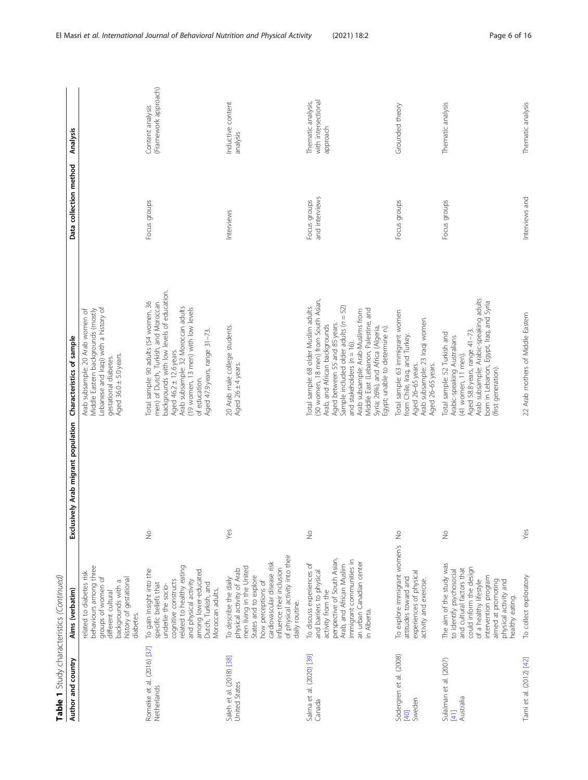| Table 1 Study characteristics (Continued)     |                                                                                                                                                                                                                                                |                                          |                                                                                                                                                                                                                                                                                                                                                                              |                                |                                                       |
|-----------------------------------------------|------------------------------------------------------------------------------------------------------------------------------------------------------------------------------------------------------------------------------------------------|------------------------------------------|------------------------------------------------------------------------------------------------------------------------------------------------------------------------------------------------------------------------------------------------------------------------------------------------------------------------------------------------------------------------------|--------------------------------|-------------------------------------------------------|
| Author and country                            | Aims (verbatim)                                                                                                                                                                                                                                | sively Arab migrant population<br>Exclus | Characteristics of sample                                                                                                                                                                                                                                                                                                                                                    | Data collection method         | Analysis                                              |
|                                               | behaviours among three<br>related to diabetes risk<br>groups of women of<br>history of gestational<br>backgrounds with a<br>different cultural<br>diabetes.                                                                                    |                                          | Lebanese and Iraqi) with a history of<br>Arab subsample: 20 Arab women of<br>Middle Eastern backgrounds (mostly<br>Aged 36.0 ± 5.0 years.<br>gestational diabetes.                                                                                                                                                                                                           |                                |                                                       |
| Romeike et al. (2016) [37]<br>Netherlands     | related to healthy eating<br>To gain insight into the<br>among lower-educated<br>cognitive constructs<br>and physical activity<br>specific beliefs that<br>Dutch, Turkish, and<br>underlie the socio-<br>Moroccan adults.                      | $\stackrel{\circ}{\geq}$                 | backgrounds with low levels of education.<br>Total sample: 90 adults (54 women, 36<br>men) of Dutch, Turkish, and Moroccan<br>Arab subsample: 32 Moroccan adults<br>(19 women, 13 men) with low levels<br>Aged 47.9 years, range 31-73.<br>Aged 46.2 ± 12.6 years.<br>of education.                                                                                          | Focus groups                   | (Framework approach)<br>Content analysis              |
| Saleh et al. (2018) [38]<br>United States     | of physical activity into their<br>cardiovascular disease risk<br>men living in the United<br>physical activity of Arab<br>influence their inclusion<br>States and to explore<br>To describe the daily<br>how perceptions of<br>daily routine. | Yes                                      | 20 Arab male college students.<br>Aged 26 ± 4 years.                                                                                                                                                                                                                                                                                                                         | Interviews                     | Inductive content<br>analysis                         |
| Salma et al. (2020) [39]<br>Canada            | perspective of South Asian,<br>immigrant communities in<br>an urban Canadian center<br>To discuss experiences of<br>Arab, and African Muslim<br>and barriers to physical<br>activity from the<br>in Alberta.                                   | $\frac{1}{2}$                            | (50 women, 18 men) from South Asian,<br>Aged between 55 and 85 years.<br>Sample included older adults (n = 52)<br>Total sample: 68 older Muslim adults<br>Middle East (Lebanon, Palestine, and<br>Arab subsample: Arab-Muslims from<br>Arab, and African backgrounds<br>Syria; 26%), and Africa (Algeria,<br>Egypt; unable to detemine n).<br>and stakeholders ( $n = 16$ ). | and interviews<br>Focus groups | with intersectional<br>Thematic analysis,<br>approach |
| Södergren et al. (2008)<br>Sweden<br>[40]     | To explore immigrant women's No<br>experiences of physical<br>attitudes toward and<br>activity and exercise.                                                                                                                                   |                                          | Total sample: 63 immigrant women<br>Arab subsample: 23 Iraqi women.<br>from Chile, Iraq, and Turkey.<br>Aged 26-65 years.<br>Aged 26-65 years.                                                                                                                                                                                                                               | Focus groups                   | Grounded theory                                       |
| Sulaiman et al. (2007)<br>Australia<br>$[41]$ | The aim of the study was<br>could inform the design<br>and cultural factors that<br>to identify psychosocial<br>intervention program<br>of a healthy lifestyle<br>aimed at promoting<br>physical activity and<br>nealthy eating.               | $\frac{0}{2}$                            | Arab subsample: Arabic-speaking adults<br>born in Lebanon, Egypt, Iraq, and Syria<br>Aged 58.8 years, range 41-73.<br>Total sample: 52 Turkish and<br>Arabic-speaking Australians<br>(41 women, 11 men).<br>(first generation).                                                                                                                                              | Focus groups                   | Thematic analysis                                     |
| Tami et al. (2012) [42]                       | To collect exploratory                                                                                                                                                                                                                         | Yes                                      | 22 Arab mothers of Middle Eastern                                                                                                                                                                                                                                                                                                                                            | Interviews and                 | Thematic analysis                                     |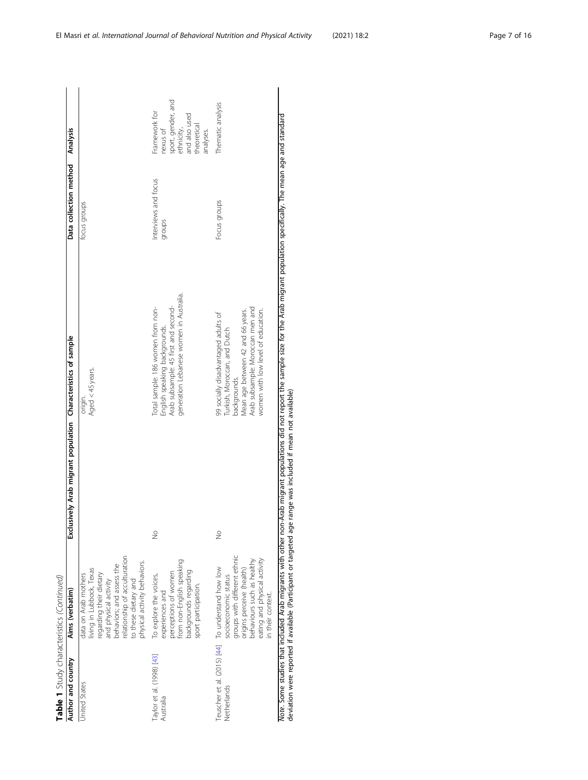Table 1 Study characteristics (Continued) Table 1 Study characteristics (Continued)

| living in Lubbock, Texas<br>data on Arab mothers<br><b>Jnited States</b>                                                                                                                                                                 | Aims (verbatim) | Exclusively Arab migrant population Characteristics of sample |                                                                                                                                                                                                    |                                | Data collection method Analysis                                                                            |
|------------------------------------------------------------------------------------------------------------------------------------------------------------------------------------------------------------------------------------------|-----------------|---------------------------------------------------------------|----------------------------------------------------------------------------------------------------------------------------------------------------------------------------------------------------|--------------------------------|------------------------------------------------------------------------------------------------------------|
| relationship of acculturation<br>physical activity behaviors.<br>regarding their dietary<br>and physical activity<br>behaviors; and assess the<br>to these dietary and                                                                   |                 |                                                               | Aged < 45 years.<br>origin.                                                                                                                                                                        | focus groups                   |                                                                                                            |
| from non-English speaking<br>backgrounds regarding<br>perceptions of women<br>To explore the voices,<br>sport participation.<br>experiences and<br>Taylor et al. (1998) [43]<br>Australia                                                |                 | $\frac{1}{2}$                                                 | generation Lebanese women in Australia.<br>Total sample: 186 women from non-<br>English speaking backgrounds.<br>Arab subsample: 45 first and second-                                              | Interviews and focus<br>groups | sport, gender, and<br>Framework for<br>and also used<br>theoretical<br>ethnicity,<br>nexus of<br>analyses. |
| groups with different ethnic<br>origins perceive (health)<br>behaviours such as healthy<br>eating and physical activity<br>Feuscher et al. (2015) [44] To understand how low<br>socioeconomic status<br>in their context.<br>Netherlands |                 | $\frac{1}{2}$                                                 | Arab subsample: Moroccan men and<br>women with low level of education.<br>Mean age between 42 and 66 years.<br>99 socially disadvantaged adults of<br>Turkish, Moroccan, and Dutch<br>backgrounds. | Focus groups                   | Thematic analysis                                                                                          |

Note. Some studies that included Arab migrants with other non-Arab migrant populations did not report the sample size for the Arab migrant population specifically. The mean age and standard<br>deviation were reported if avail Note. Some studies that included Arab migrants with other non-Arab migrant populations did not report the sample size for the Arab migrant population specifically. The mean age and standard deviation were reported if available (Participant or targeted age range was included if mean not available)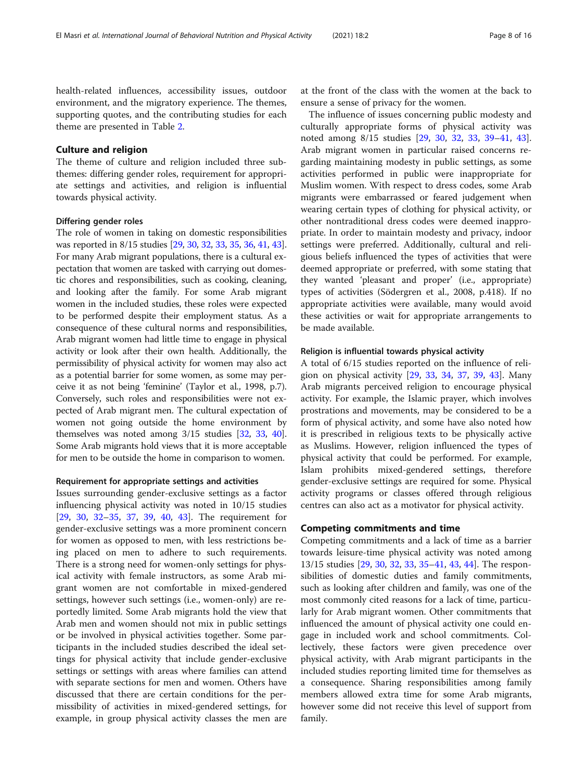health-related influences, accessibility issues, outdoor environment, and the migratory experience. The themes, supporting quotes, and the contributing studies for each theme are presented in Table [2.](#page-8-0)

#### Culture and religion

The theme of culture and religion included three subthemes: differing gender roles, requirement for appropriate settings and activities, and religion is influential towards physical activity.

#### Differing gender roles

The role of women in taking on domestic responsibilities was reported in 8/15 studies [\[29,](#page-14-0) [30](#page-14-0), [32,](#page-14-0) [33,](#page-14-0) [35](#page-14-0), [36,](#page-14-0) [41,](#page-14-0) [43](#page-14-0)]. For many Arab migrant populations, there is a cultural expectation that women are tasked with carrying out domestic chores and responsibilities, such as cooking, cleaning, and looking after the family. For some Arab migrant women in the included studies, these roles were expected to be performed despite their employment status. As a consequence of these cultural norms and responsibilities, Arab migrant women had little time to engage in physical activity or look after their own health. Additionally, the permissibility of physical activity for women may also act as a potential barrier for some women, as some may perceive it as not being 'feminine' (Taylor et al., 1998, p.7). Conversely, such roles and responsibilities were not expected of Arab migrant men. The cultural expectation of women not going outside the home environment by themselves was noted among 3/15 studies [[32](#page-14-0), [33,](#page-14-0) [40](#page-14-0)]. Some Arab migrants hold views that it is more acceptable for men to be outside the home in comparison to women.

#### Requirement for appropriate settings and activities

Issues surrounding gender-exclusive settings as a factor influencing physical activity was noted in 10/15 studies [[29,](#page-14-0) [30](#page-14-0), [32](#page-14-0)–[35](#page-14-0), [37,](#page-14-0) [39](#page-14-0), [40,](#page-14-0) [43](#page-14-0)]. The requirement for gender-exclusive settings was a more prominent concern for women as opposed to men, with less restrictions being placed on men to adhere to such requirements. There is a strong need for women-only settings for physical activity with female instructors, as some Arab migrant women are not comfortable in mixed-gendered settings, however such settings (i.e., women-only) are reportedly limited. Some Arab migrants hold the view that Arab men and women should not mix in public settings or be involved in physical activities together. Some participants in the included studies described the ideal settings for physical activity that include gender-exclusive settings or settings with areas where families can attend with separate sections for men and women. Others have discussed that there are certain conditions for the permissibility of activities in mixed-gendered settings, for example, in group physical activity classes the men are at the front of the class with the women at the back to ensure a sense of privacy for the women.

The influence of issues concerning public modesty and culturally appropriate forms of physical activity was noted among 8/15 studies [\[29](#page-14-0), [30,](#page-14-0) [32](#page-14-0), [33](#page-14-0), [39](#page-14-0)–[41,](#page-14-0) [43](#page-14-0)]. Arab migrant women in particular raised concerns regarding maintaining modesty in public settings, as some activities performed in public were inappropriate for Muslim women. With respect to dress codes, some Arab migrants were embarrassed or feared judgement when wearing certain types of clothing for physical activity, or other nontraditional dress codes were deemed inappropriate. In order to maintain modesty and privacy, indoor settings were preferred. Additionally, cultural and religious beliefs influenced the types of activities that were deemed appropriate or preferred, with some stating that they wanted 'pleasant and proper' (i.e., appropriate) types of activities (Södergren et al., 2008, p.418). If no appropriate activities were available, many would avoid these activities or wait for appropriate arrangements to be made available.

#### Religion is influential towards physical activity

A total of 6/15 studies reported on the influence of religion on physical activity [[29,](#page-14-0) [33,](#page-14-0) [34](#page-14-0), [37](#page-14-0), [39,](#page-14-0) [43\]](#page-14-0). Many Arab migrants perceived religion to encourage physical activity. For example, the Islamic prayer, which involves prostrations and movements, may be considered to be a form of physical activity, and some have also noted how it is prescribed in religious texts to be physically active as Muslims. However, religion influenced the types of physical activity that could be performed. For example, Islam prohibits mixed-gendered settings, therefore gender-exclusive settings are required for some. Physical activity programs or classes offered through religious centres can also act as a motivator for physical activity.

#### Competing commitments and time

Competing commitments and a lack of time as a barrier towards leisure-time physical activity was noted among 13/15 studies [\[29,](#page-14-0) [30,](#page-14-0) [32,](#page-14-0) [33,](#page-14-0) [35](#page-14-0)–[41](#page-14-0), [43](#page-14-0), [44](#page-14-0)]. The responsibilities of domestic duties and family commitments, such as looking after children and family, was one of the most commonly cited reasons for a lack of time, particularly for Arab migrant women. Other commitments that influenced the amount of physical activity one could engage in included work and school commitments. Collectively, these factors were given precedence over physical activity, with Arab migrant participants in the included studies reporting limited time for themselves as a consequence. Sharing responsibilities among family members allowed extra time for some Arab migrants, however some did not receive this level of support from family.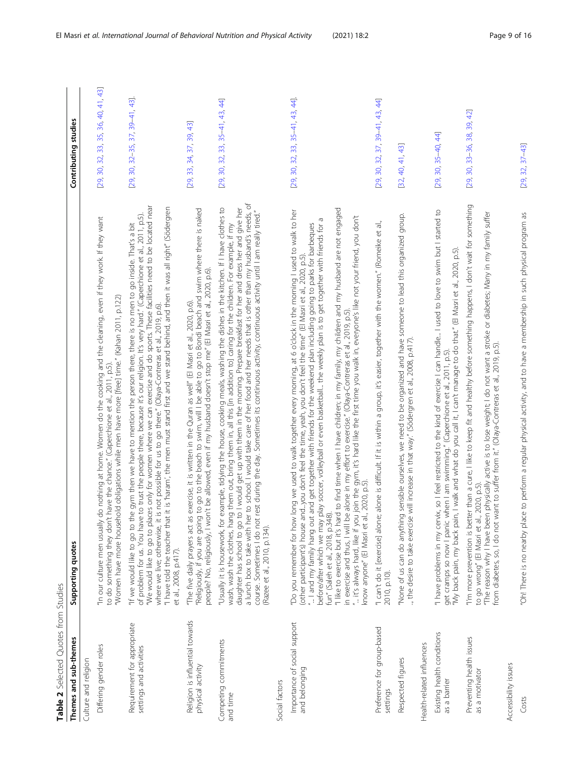<span id="page-8-0"></span>

| Table 2 Selected Quotes from Studies                   |                                                                                                                                                                                                                                                                                                                                                                                                                                                                                                                                                                                                                                                                                                    |                                      |
|--------------------------------------------------------|----------------------------------------------------------------------------------------------------------------------------------------------------------------------------------------------------------------------------------------------------------------------------------------------------------------------------------------------------------------------------------------------------------------------------------------------------------------------------------------------------------------------------------------------------------------------------------------------------------------------------------------------------------------------------------------------------|--------------------------------------|
| Themes and sub-themes                                  | Supporting quotes                                                                                                                                                                                                                                                                                                                                                                                                                                                                                                                                                                                                                                                                                  | Contributing studies                 |
| Culture and religion                                   |                                                                                                                                                                                                                                                                                                                                                                                                                                                                                                                                                                                                                                                                                                    |                                      |
| Differing gender roles                                 | do nothing at home. Women do the cooking and the cleaning, even if they work. If they want<br>"Women have more household obligations while men have more [free] time." (Kahan 2011, p.122)<br>to do something they don't have the chance." (Caperchione et al., 2011, p.5).<br>"In our culture men usually                                                                                                                                                                                                                                                                                                                                                                                         | [29, 30, 32, 33, 35, 36, 40, 41, 43] |
| Requirement for appropriate<br>settings and activities | "We would like to go to places only for women where we can exercise and do sports. These facilities need to be located near<br>"I have told the teacher that it is 'haram', the men must stand first and we stand behind, and then it was all right" (Södergren<br>of problem for us. You have to trust the people there, because it's our religion. It's very hard." (Caperchione et al., 2011, p.5)<br>"If we would like to go to the gym then we have to mention the person there, there is no men to go inside. That's a bit<br>is not possible for us to go there." (Olaya-Contreras et al., 2019, p.6).<br>where we live; otherwise, it<br>et al., 2008, p.417).                             | $[29, 30, 32-35, 37, 39-41, 43]$     |
| Religion is influential towards<br>physical activity   | "Religiously, if you are going to go to the beach to swim, will I be able to go to Bondi beach and swim where there is naked<br>people? No, religiously, I won't be allowed, even if my husband doesn't stop me" (El Masri et al.<br>"The five daily prayers act as exercise, it is written in the Quran as well" (El Masri et al., 2020, p.6).                                                                                                                                                                                                                                                                                                                                                    | [29, 33, 34, 37, 39, 43]             |
| Competing commitments<br>and time                      | a lunch box to take with her to school. I would take care of her food and her needs that is other than my husband's needs, of<br>"Usually it is housework, for example, tidying the house, cooking meals, washing the dishes in the kitchen. If I have clothes to<br>daughter has school to go to I would get up with them in the morning. Prepare breakfast for her and dress her and give her<br>course. Sometimes I do not rest during the day. Sometimes its continuous activity, continuous activity until I am really tired."<br>wash, wash the clothes, hang them out, bring them in, all this [in addition to] caring for the children. For example, if my<br>(Razee et al., 2010, p.134). | [29, 30, 32, 33, 35-41, 43, 44]      |
| Social factors                                         |                                                                                                                                                                                                                                                                                                                                                                                                                                                                                                                                                                                                                                                                                                    |                                      |
| Importance of social support<br>and belonging          | "Do you remember for how long we used to walk together every morning, at 6 o'clock in the morning I used to walk to her<br>play soccer, volleyball or even basketball the weekly plan is to get together with friends for a<br>I and my family hang out and get together with friends for the weekend plan including going to parks for barbeques<br>(other participant's) house andyou don't feel the time, yeah, you don't feel the time" (El Masri et al., 2020, p.5).<br>fun" (Saleh et al., 2018, p.348).<br>before/after which we may                                                                                                                                                        | $[29, 30, 32, 33, 35-41, 43, 44]$    |
|                                                        | "I like to exercise but it's hard to find time when I have children; in my family, my children and my husband are not engaged<br>in exercise and thus, I will be alone in my effort to exercise." (Olaya-Contrera's et al., 2019, p.5).<br>" it's always hard, like if you join the gym, it's hard like the first time you walk in, everyone's like not your fr<br>know anyone" (El Masri et al., 2020, p.5)                                                                                                                                                                                                                                                                                       |                                      |
| Preference for group-based<br>settings                 | "I can't do it [exercise] alone; alone is difficult. If it is within a group, it's easier, together with the women." (Romeike et al.,<br>2010, p.10).                                                                                                                                                                                                                                                                                                                                                                                                                                                                                                                                              | [29, 30, 32, 37, 39-41, 43, 44]      |
| Respected figures                                      | "None of us can do anything sensible ourselves, we need to be organized and have someone to lead this organized group.<br>, the desire to take exercise will increase in that way." (Södergren et al., 2008, p.417).                                                                                                                                                                                                                                                                                                                                                                                                                                                                               | [32, 40, 41, 43]                     |
| Health-related influences                              |                                                                                                                                                                                                                                                                                                                                                                                                                                                                                                                                                                                                                                                                                                    |                                      |
| Existing health conditions<br>as a barrier             | "I have problems in my cervix, so I feel restricted to the kind of exercise I can handle I used to love to swim but I started to<br>"My back pain, my back pain, I walk and what do you call it, I can't manage to do that" (El Masri et al., 2020, p.5).<br>get cramps so now I panic when I am swimming." (Caperchione et al., 2011, p.5).                                                                                                                                                                                                                                                                                                                                                       | $[29, 30, 35-40, 44]$                |
| Preventing health issues<br>as a motivator             | "I'm more prevention is better than a cure, I like to keep fit and healthy before something happens, I don't wait for something<br>"The reason why I have been physically active is to lose weight; I do not want a stroke or diabetes; Mary in my family suffer<br>want to suffer from it." (Olaya-Contreras et al., 2019, p.5)<br>to go wrong" (El Masri et al., 2020, p.5).<br>from diabetes, so, I do not                                                                                                                                                                                                                                                                                      | [29, 30, 33-36, 38, 39, 42]          |
| Accessibility issues                                   |                                                                                                                                                                                                                                                                                                                                                                                                                                                                                                                                                                                                                                                                                                    |                                      |
| Costs                                                  | "Oh! There is no nearby place to perform a regular physical activity, and to have a membership in such physical program as                                                                                                                                                                                                                                                                                                                                                                                                                                                                                                                                                                         | $[29, 32, 37 - 43]$                  |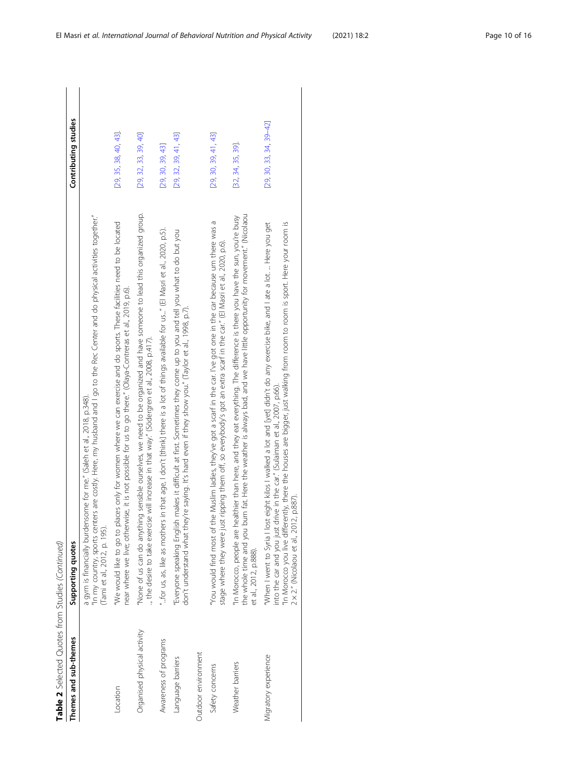| don't understand what they're saying. It's hard even if they show you." (Taylor et al., 1998, p.7).<br>the desire to take exercise will increase in that way." (Södergren et al., 2008, p.417).<br>drive in the car." (Sulaiman et al., 2007, p.66).<br>a gym is financially burdensome for me." (Saleh et al., 2018, p.348).<br>(Tami et al., 2012, p. 195).<br>"You would find most of<br>stage where they were ju<br>into the car and you just<br>'Everyone speaking Engli<br>"In Morocco, people are<br>Supporting quotes<br>et al., 2012, p.888).<br>Organised physical activity<br>Themes and sub-themes<br>Awareness of programs<br>Outdoor environment<br>Migratory experience<br>Language barriers<br>Weather barriers<br>Safety concerns<br>Location | Table 2 Selected Quotes from Studies (Continued)                                                                                                                                                                                                                                                             |                             |
|----------------------------------------------------------------------------------------------------------------------------------------------------------------------------------------------------------------------------------------------------------------------------------------------------------------------------------------------------------------------------------------------------------------------------------------------------------------------------------------------------------------------------------------------------------------------------------------------------------------------------------------------------------------------------------------------------------------------------------------------------------------|--------------------------------------------------------------------------------------------------------------------------------------------------------------------------------------------------------------------------------------------------------------------------------------------------------------|-----------------------------|
|                                                                                                                                                                                                                                                                                                                                                                                                                                                                                                                                                                                                                                                                                                                                                                |                                                                                                                                                                                                                                                                                                              | Contributing studies        |
|                                                                                                                                                                                                                                                                                                                                                                                                                                                                                                                                                                                                                                                                                                                                                                | "In my country, sports centers are costly. Here, my husband and I go to the Rec Center and do physical activities together."                                                                                                                                                                                 |                             |
|                                                                                                                                                                                                                                                                                                                                                                                                                                                                                                                                                                                                                                                                                                                                                                | "We would like to go to places only for women where we can exercise and do sports. These facilities need to be located<br>near where we live; otherwise, it is not possible for us to go there." (Olaya-Contreras et al., 2019, p.6).                                                                        | [29, 35, 38, 40, 43].       |
|                                                                                                                                                                                                                                                                                                                                                                                                                                                                                                                                                                                                                                                                                                                                                                | "None of us can do anything sensible ourselves, we need to be organized and have someone to lead this organized group.                                                                                                                                                                                       | [29, 32, 33, 39, 40]        |
|                                                                                                                                                                                                                                                                                                                                                                                                                                                                                                                                                                                                                                                                                                                                                                | "for us, as, like as mothers in that age, I don't [think] there is a lot of things available for us" (El Masri et al., 2020, p.5).                                                                                                                                                                           | [29, 30, 39, 43]            |
|                                                                                                                                                                                                                                                                                                                                                                                                                                                                                                                                                                                                                                                                                                                                                                | ish makes it difficult at first. Sometimes they come up to you and tell you what to do but you                                                                                                                                                                                                               | [29, 32, 39, 41, 43]        |
|                                                                                                                                                                                                                                                                                                                                                                                                                                                                                                                                                                                                                                                                                                                                                                |                                                                                                                                                                                                                                                                                                              |                             |
|                                                                                                                                                                                                                                                                                                                                                                                                                                                                                                                                                                                                                                                                                                                                                                | the Muslim ladies, they've got a scarf in the car. I've got one in the car because um there was a<br>ust ripping them off, so everybody's got an extra scarf in the car." (El Masri et al., 2020, p.6).                                                                                                      | [29, 30, 39, 41, 43]        |
|                                                                                                                                                                                                                                                                                                                                                                                                                                                                                                                                                                                                                                                                                                                                                                | the whole time and you burn fat. Here the weather is always bad, and we have little opportunity for movement." (Nicolaou<br>healthier than here, and they eat everything. The difference is there you have the sun, you're busy                                                                              | [32, 34, 35, 39]            |
|                                                                                                                                                                                                                                                                                                                                                                                                                                                                                                                                                                                                                                                                                                                                                                | In Morocco you live differently, there the houses are bigger, just walking from room to room is sport. Here your room is<br>"When I went to Syria I lost eight kilos I walked a lot and [yet] didn't do any exercise bike, and I ate a lot.  Here you get<br>$2 \times 2$ ." (Nicolaou et al., 2012, p.887). | $[29, 30, 33, 34, 39 - 42]$ |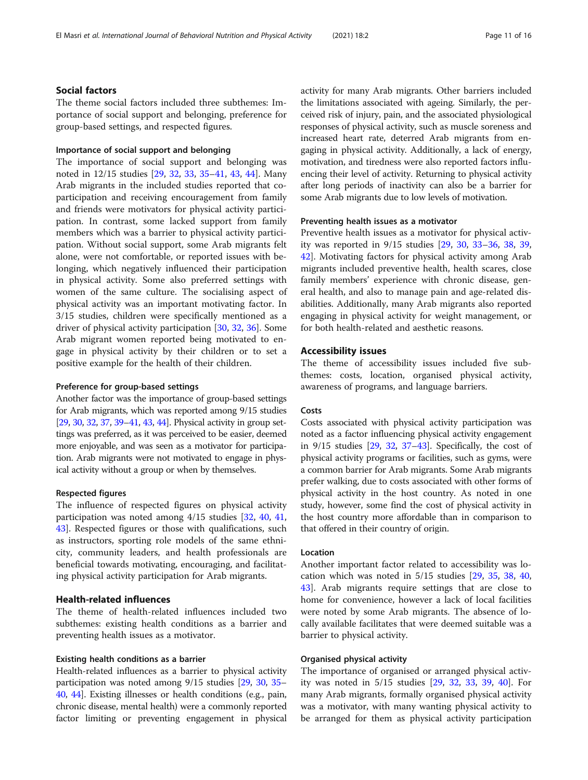#### Social factors

The theme social factors included three subthemes: Importance of social support and belonging, preference for group-based settings, and respected figures.

#### Importance of social support and belonging

The importance of social support and belonging was noted in 12/15 studies [\[29,](#page-14-0) [32](#page-14-0), [33,](#page-14-0) [35](#page-14-0)–[41,](#page-14-0) [43](#page-14-0), [44\]](#page-14-0). Many Arab migrants in the included studies reported that coparticipation and receiving encouragement from family and friends were motivators for physical activity participation. In contrast, some lacked support from family members which was a barrier to physical activity participation. Without social support, some Arab migrants felt alone, were not comfortable, or reported issues with belonging, which negatively influenced their participation in physical activity. Some also preferred settings with women of the same culture. The socialising aspect of physical activity was an important motivating factor. In 3/15 studies, children were specifically mentioned as a driver of physical activity participation [\[30,](#page-14-0) [32,](#page-14-0) [36\]](#page-14-0). Some Arab migrant women reported being motivated to engage in physical activity by their children or to set a positive example for the health of their children.

#### Preference for group-based settings

Another factor was the importance of group-based settings for Arab migrants, which was reported among 9/15 studies [[29](#page-14-0), [30](#page-14-0), [32](#page-14-0), [37](#page-14-0), [39](#page-14-0)–[41](#page-14-0), [43](#page-14-0), [44](#page-14-0)]. Physical activity in group settings was preferred, as it was perceived to be easier, deemed more enjoyable, and was seen as a motivator for participation. Arab migrants were not motivated to engage in physical activity without a group or when by themselves.

#### Respected figures

The influence of respected figures on physical activity participation was noted among 4/15 studies [\[32,](#page-14-0) [40,](#page-14-0) [41](#page-14-0), [43\]](#page-14-0). Respected figures or those with qualifications, such as instructors, sporting role models of the same ethnicity, community leaders, and health professionals are beneficial towards motivating, encouraging, and facilitating physical activity participation for Arab migrants.

#### Health-related influences

The theme of health-related influences included two subthemes: existing health conditions as a barrier and preventing health issues as a motivator.

#### Existing health conditions as a barrier

Health-related influences as a barrier to physical activity participation was noted among 9/15 studies [[29,](#page-14-0) [30](#page-14-0), [35](#page-14-0)– [40](#page-14-0), [44\]](#page-14-0). Existing illnesses or health conditions (e.g., pain, chronic disease, mental health) were a commonly reported factor limiting or preventing engagement in physical activity for many Arab migrants. Other barriers included the limitations associated with ageing. Similarly, the perceived risk of injury, pain, and the associated physiological responses of physical activity, such as muscle soreness and increased heart rate, deterred Arab migrants from engaging in physical activity. Additionally, a lack of energy, motivation, and tiredness were also reported factors influencing their level of activity. Returning to physical activity after long periods of inactivity can also be a barrier for some Arab migrants due to low levels of motivation.

#### Preventing health issues as a motivator

Preventive health issues as a motivator for physical activity was reported in 9/15 studies [[29,](#page-14-0) [30,](#page-14-0) [33](#page-14-0)–[36](#page-14-0), [38](#page-14-0), [39](#page-14-0), [42\]](#page-14-0). Motivating factors for physical activity among Arab migrants included preventive health, health scares, close family members' experience with chronic disease, general health, and also to manage pain and age-related disabilities. Additionally, many Arab migrants also reported engaging in physical activity for weight management, or for both health-related and aesthetic reasons.

#### Accessibility issues

The theme of accessibility issues included five subthemes: costs, location, organised physical activity, awareness of programs, and language barriers.

#### Costs

Costs associated with physical activity participation was noted as a factor influencing physical activity engagement in 9/15 studies [[29](#page-14-0), [32,](#page-14-0) [37](#page-14-0)–[43](#page-14-0)]. Specifically, the cost of physical activity programs or facilities, such as gyms, were a common barrier for Arab migrants. Some Arab migrants prefer walking, due to costs associated with other forms of physical activity in the host country. As noted in one study, however, some find the cost of physical activity in the host country more affordable than in comparison to that offered in their country of origin.

#### Location

Another important factor related to accessibility was location which was noted in 5/15 studies [[29](#page-14-0), [35](#page-14-0), [38](#page-14-0), [40](#page-14-0), [43\]](#page-14-0). Arab migrants require settings that are close to home for convenience, however a lack of local facilities were noted by some Arab migrants. The absence of locally available facilitates that were deemed suitable was a barrier to physical activity.

#### Organised physical activity

The importance of organised or arranged physical activity was noted in 5/15 studies [[29](#page-14-0), [32,](#page-14-0) [33,](#page-14-0) [39](#page-14-0), [40\]](#page-14-0). For many Arab migrants, formally organised physical activity was a motivator, with many wanting physical activity to be arranged for them as physical activity participation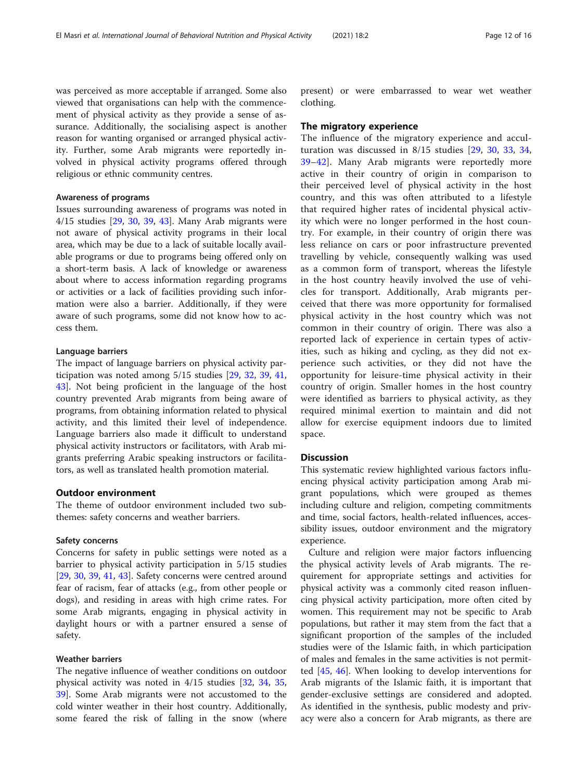was perceived as more acceptable if arranged. Some also viewed that organisations can help with the commencement of physical activity as they provide a sense of assurance. Additionally, the socialising aspect is another reason for wanting organised or arranged physical activity. Further, some Arab migrants were reportedly involved in physical activity programs offered through religious or ethnic community centres.

#### Awareness of programs

Issues surrounding awareness of programs was noted in 4/15 studies [\[29,](#page-14-0) [30,](#page-14-0) [39](#page-14-0), [43](#page-14-0)]. Many Arab migrants were not aware of physical activity programs in their local area, which may be due to a lack of suitable locally available programs or due to programs being offered only on a short-term basis. A lack of knowledge or awareness about where to access information regarding programs or activities or a lack of facilities providing such information were also a barrier. Additionally, if they were aware of such programs, some did not know how to access them.

#### Language barriers

The impact of language barriers on physical activity participation was noted among 5/15 studies [\[29,](#page-14-0) [32](#page-14-0), [39,](#page-14-0) [41](#page-14-0), [43\]](#page-14-0). Not being proficient in the language of the host country prevented Arab migrants from being aware of programs, from obtaining information related to physical activity, and this limited their level of independence. Language barriers also made it difficult to understand physical activity instructors or facilitators, with Arab migrants preferring Arabic speaking instructors or facilitators, as well as translated health promotion material.

#### Outdoor environment

The theme of outdoor environment included two subthemes: safety concerns and weather barriers.

#### Safety concerns

Concerns for safety in public settings were noted as a barrier to physical activity participation in 5/15 studies [[29,](#page-14-0) [30,](#page-14-0) [39,](#page-14-0) [41,](#page-14-0) [43\]](#page-14-0). Safety concerns were centred around fear of racism, fear of attacks (e.g., from other people or dogs), and residing in areas with high crime rates. For some Arab migrants, engaging in physical activity in daylight hours or with a partner ensured a sense of safety.

#### Weather barriers

The negative influence of weather conditions on outdoor physical activity was noted in 4/15 studies [[32,](#page-14-0) [34,](#page-14-0) [35](#page-14-0), [39\]](#page-14-0). Some Arab migrants were not accustomed to the cold winter weather in their host country. Additionally, some feared the risk of falling in the snow (where present) or were embarrassed to wear wet weather clothing.

#### The migratory experience

The influence of the migratory experience and acculturation was discussed in 8/15 studies [[29](#page-14-0), [30,](#page-14-0) [33,](#page-14-0) [34](#page-14-0), [39](#page-14-0)–[42\]](#page-14-0). Many Arab migrants were reportedly more active in their country of origin in comparison to their perceived level of physical activity in the host country, and this was often attributed to a lifestyle that required higher rates of incidental physical activity which were no longer performed in the host country. For example, in their country of origin there was less reliance on cars or poor infrastructure prevented travelling by vehicle, consequently walking was used as a common form of transport, whereas the lifestyle in the host country heavily involved the use of vehicles for transport. Additionally, Arab migrants perceived that there was more opportunity for formalised physical activity in the host country which was not common in their country of origin. There was also a reported lack of experience in certain types of activities, such as hiking and cycling, as they did not experience such activities, or they did not have the opportunity for leisure-time physical activity in their country of origin. Smaller homes in the host country were identified as barriers to physical activity, as they required minimal exertion to maintain and did not allow for exercise equipment indoors due to limited space.

#### **Discussion**

This systematic review highlighted various factors influencing physical activity participation among Arab migrant populations, which were grouped as themes including culture and religion, competing commitments and time, social factors, health-related influences, accessibility issues, outdoor environment and the migratory experience.

Culture and religion were major factors influencing the physical activity levels of Arab migrants. The requirement for appropriate settings and activities for physical activity was a commonly cited reason influencing physical activity participation, more often cited by women. This requirement may not be specific to Arab populations, but rather it may stem from the fact that a significant proportion of the samples of the included studies were of the Islamic faith, in which participation of males and females in the same activities is not permitted [[45](#page-15-0), [46](#page-15-0)]. When looking to develop interventions for Arab migrants of the Islamic faith, it is important that gender-exclusive settings are considered and adopted. As identified in the synthesis, public modesty and privacy were also a concern for Arab migrants, as there are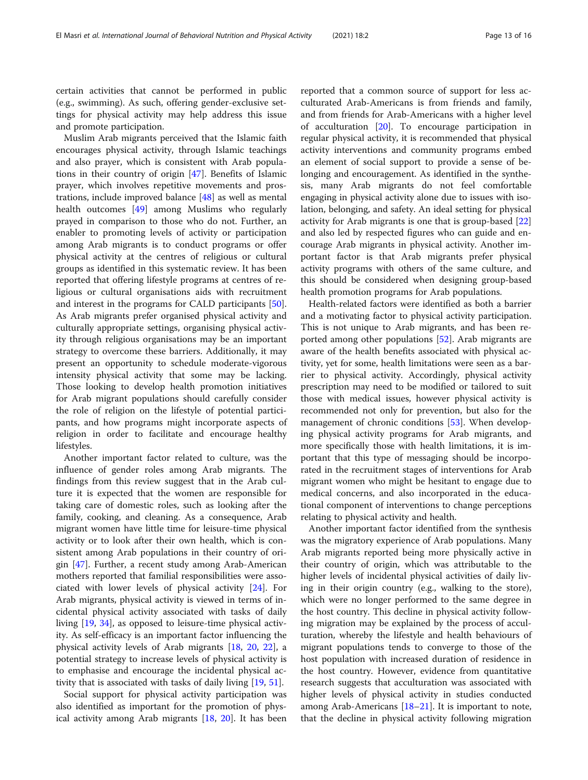certain activities that cannot be performed in public (e.g., swimming). As such, offering gender-exclusive settings for physical activity may help address this issue and promote participation.

Muslim Arab migrants perceived that the Islamic faith encourages physical activity, through Islamic teachings and also prayer, which is consistent with Arab populations in their country of origin [\[47\]](#page-15-0). Benefits of Islamic prayer, which involves repetitive movements and prostrations, include improved balance [[48\]](#page-15-0) as well as mental health outcomes [[49\]](#page-15-0) among Muslims who regularly prayed in comparison to those who do not. Further, an enabler to promoting levels of activity or participation among Arab migrants is to conduct programs or offer physical activity at the centres of religious or cultural groups as identified in this systematic review. It has been reported that offering lifestyle programs at centres of religious or cultural organisations aids with recruitment and interest in the programs for CALD participants [\[50](#page-15-0)]. As Arab migrants prefer organised physical activity and culturally appropriate settings, organising physical activity through religious organisations may be an important strategy to overcome these barriers. Additionally, it may present an opportunity to schedule moderate-vigorous intensity physical activity that some may be lacking. Those looking to develop health promotion initiatives for Arab migrant populations should carefully consider the role of religion on the lifestyle of potential participants, and how programs might incorporate aspects of religion in order to facilitate and encourage healthy lifestyles.

Another important factor related to culture, was the influence of gender roles among Arab migrants. The findings from this review suggest that in the Arab culture it is expected that the women are responsible for taking care of domestic roles, such as looking after the family, cooking, and cleaning. As a consequence, Arab migrant women have little time for leisure-time physical activity or to look after their own health, which is consistent among Arab populations in their country of origin [\[47](#page-15-0)]. Further, a recent study among Arab-American mothers reported that familial responsibilities were associated with lower levels of physical activity [[24\]](#page-14-0). For Arab migrants, physical activity is viewed in terms of incidental physical activity associated with tasks of daily living [[19](#page-14-0), [34\]](#page-14-0), as opposed to leisure-time physical activity. As self-efficacy is an important factor influencing the physical activity levels of Arab migrants [\[18,](#page-14-0) [20](#page-14-0), [22](#page-14-0)], a potential strategy to increase levels of physical activity is to emphasise and encourage the incidental physical activity that is associated with tasks of daily living [[19](#page-14-0), [51](#page-15-0)].

Social support for physical activity participation was also identified as important for the promotion of physical activity among Arab migrants [[18](#page-14-0), [20](#page-14-0)]. It has been

reported that a common source of support for less acculturated Arab-Americans is from friends and family, and from friends for Arab-Americans with a higher level of acculturation  $[20]$  $[20]$ . To encourage participation in regular physical activity, it is recommended that physical activity interventions and community programs embed an element of social support to provide a sense of belonging and encouragement. As identified in the synthesis, many Arab migrants do not feel comfortable engaging in physical activity alone due to issues with isolation, belonging, and safety. An ideal setting for physical activity for Arab migrants is one that is group-based [[22](#page-14-0)] and also led by respected figures who can guide and encourage Arab migrants in physical activity. Another important factor is that Arab migrants prefer physical activity programs with others of the same culture, and this should be considered when designing group-based health promotion programs for Arab populations.

Health-related factors were identified as both a barrier and a motivating factor to physical activity participation. This is not unique to Arab migrants, and has been reported among other populations [\[52\]](#page-15-0). Arab migrants are aware of the health benefits associated with physical activity, yet for some, health limitations were seen as a barrier to physical activity. Accordingly, physical activity prescription may need to be modified or tailored to suit those with medical issues, however physical activity is recommended not only for prevention, but also for the management of chronic conditions [\[53](#page-15-0)]. When developing physical activity programs for Arab migrants, and more specifically those with health limitations, it is important that this type of messaging should be incorporated in the recruitment stages of interventions for Arab migrant women who might be hesitant to engage due to medical concerns, and also incorporated in the educational component of interventions to change perceptions relating to physical activity and health.

Another important factor identified from the synthesis was the migratory experience of Arab populations. Many Arab migrants reported being more physically active in their country of origin, which was attributable to the higher levels of incidental physical activities of daily living in their origin country (e.g., walking to the store), which were no longer performed to the same degree in the host country. This decline in physical activity following migration may be explained by the process of acculturation, whereby the lifestyle and health behaviours of migrant populations tends to converge to those of the host population with increased duration of residence in the host country. However, evidence from quantitative research suggests that acculturation was associated with higher levels of physical activity in studies conducted among Arab-Americans  $[18–21]$  $[18–21]$  $[18–21]$  $[18–21]$  $[18–21]$ . It is important to note, that the decline in physical activity following migration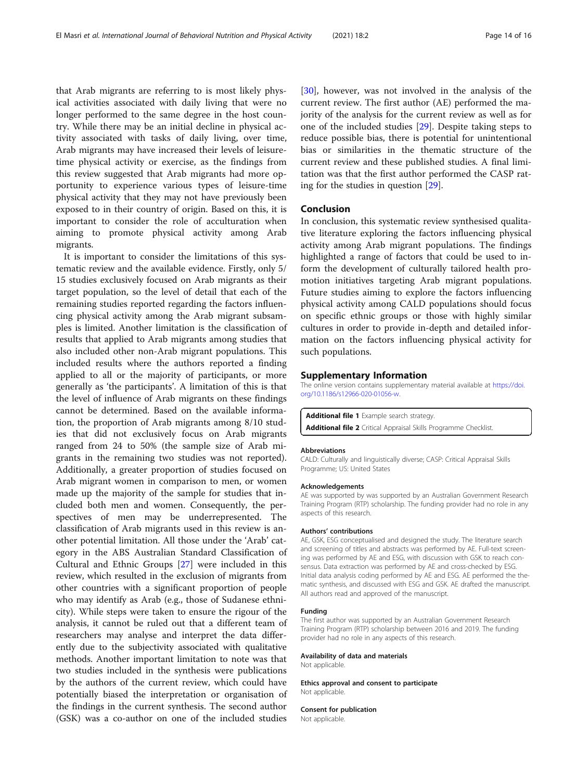<span id="page-13-0"></span>that Arab migrants are referring to is most likely physical activities associated with daily living that were no longer performed to the same degree in the host country. While there may be an initial decline in physical activity associated with tasks of daily living, over time, Arab migrants may have increased their levels of leisuretime physical activity or exercise, as the findings from this review suggested that Arab migrants had more opportunity to experience various types of leisure-time physical activity that they may not have previously been exposed to in their country of origin. Based on this, it is important to consider the role of acculturation when aiming to promote physical activity among Arab migrants.

It is important to consider the limitations of this systematic review and the available evidence. Firstly, only 5/ 15 studies exclusively focused on Arab migrants as their target population, so the level of detail that each of the remaining studies reported regarding the factors influencing physical activity among the Arab migrant subsamples is limited. Another limitation is the classification of results that applied to Arab migrants among studies that also included other non-Arab migrant populations. This included results where the authors reported a finding applied to all or the majority of participants, or more generally as 'the participants'. A limitation of this is that the level of influence of Arab migrants on these findings cannot be determined. Based on the available information, the proportion of Arab migrants among 8/10 studies that did not exclusively focus on Arab migrants ranged from 24 to 50% (the sample size of Arab migrants in the remaining two studies was not reported). Additionally, a greater proportion of studies focused on Arab migrant women in comparison to men, or women made up the majority of the sample for studies that included both men and women. Consequently, the perspectives of men may be underrepresented. The classification of Arab migrants used in this review is another potential limitation. All those under the 'Arab' category in the ABS Australian Standard Classification of Cultural and Ethnic Groups [[27\]](#page-14-0) were included in this review, which resulted in the exclusion of migrants from other countries with a significant proportion of people who may identify as Arab (e.g., those of Sudanese ethnicity). While steps were taken to ensure the rigour of the analysis, it cannot be ruled out that a different team of researchers may analyse and interpret the data differently due to the subjectivity associated with qualitative methods. Another important limitation to note was that two studies included in the synthesis were publications by the authors of the current review, which could have potentially biased the interpretation or organisation of the findings in the current synthesis. The second author (GSK) was a co-author on one of the included studies

[[30\]](#page-14-0), however, was not involved in the analysis of the current review. The first author (AE) performed the majority of the analysis for the current review as well as for one of the included studies [[29\]](#page-14-0). Despite taking steps to reduce possible bias, there is potential for unintentional bias or similarities in the thematic structure of the current review and these published studies. A final limitation was that the first author performed the CASP rating for the studies in question [[29\]](#page-14-0).

#### Conclusion

In conclusion, this systematic review synthesised qualitative literature exploring the factors influencing physical activity among Arab migrant populations. The findings highlighted a range of factors that could be used to inform the development of culturally tailored health promotion initiatives targeting Arab migrant populations. Future studies aiming to explore the factors influencing physical activity among CALD populations should focus on specific ethnic groups or those with highly similar cultures in order to provide in-depth and detailed information on the factors influencing physical activity for such populations.

#### Supplementary Information

The online version contains supplementary material available at [https://doi.](https://doi.org/10.1186/s12966-020-01056-w) [org/10.1186/s12966-020-01056-w](https://doi.org/10.1186/s12966-020-01056-w).

Additional file 1 Example search strategy. Additional file 2 Critical Appraisal Skills Programme Checklist.

#### **Abbreviations**

CALD: Culturally and linguistically diverse; CASP: Critical Appraisal Skills Programme; US: United States

#### Acknowledgements

AE was supported by was supported by an Australian Government Research Training Program (RTP) scholarship. The funding provider had no role in any aspects of this research.

#### Authors' contributions

AE, GSK, ESG conceptualised and designed the study. The literature search and screening of titles and abstracts was performed by AE. Full-text screening was performed by AE and ESG, with discussion with GSK to reach consensus. Data extraction was performed by AE and cross-checked by ESG. Initial data analysis coding performed by AE and ESG. AE performed the thematic synthesis, and discussed with ESG and GSK. AE drafted the manuscript. All authors read and approved of the manuscript.

#### Funding

The first author was supported by an Australian Government Research Training Program (RTP) scholarship between 2016 and 2019. The funding provider had no role in any aspects of this research.

#### Availability of data and materials

Not applicable.

Ethics approval and consent to participate Not applicable.

#### Consent for publication

Not applicable.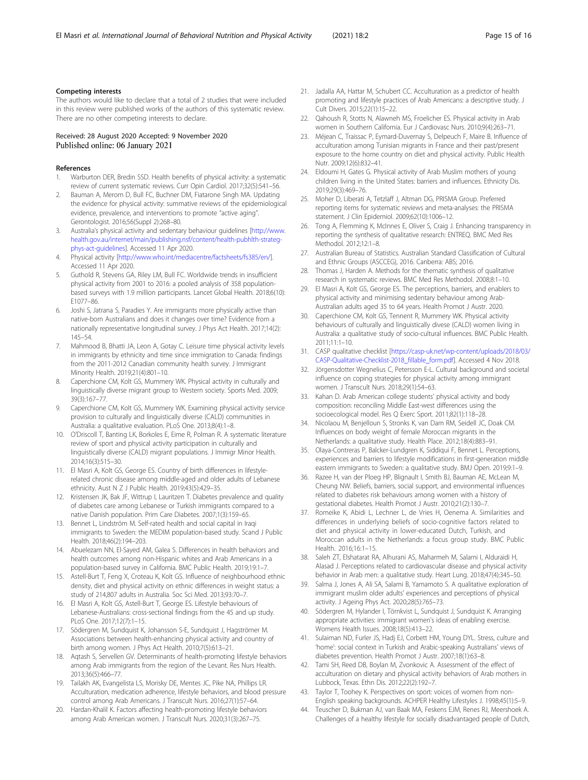#### <span id="page-14-0"></span>Competing interests

The authors would like to declare that a total of 2 studies that were included in this review were published works of the authors of this systematic review. There are no other competing interests to declare.

#### Received: 28 August 2020 Accepted: 9 November 2020 Published online: 06 January 2021

#### References

- 1. Warburton DER, Bredin SSD. Health benefits of physical activity: a systematic review of current systematic reviews. Curr Opin Cardiol. 2017;32(5):541–56.
- Bauman A, Merom D, Bull FC, Buchner DM, Fiatarone Singh MA. Updating the evidence for physical activity: summative reviews of the epidemiological evidence, prevalence, and interventions to promote "active aging". Gerontologist. 2016;56(Suppl 2):268–80.
- 3. Australia's physical activity and sedentary behaviour guidelines [[http://www.](http://www.health.gov.au/internet/main/publishing.nsf/content/health-pubhlth-strateg-phys-act-guidelines) [health.gov.au/internet/main/publishing.nsf/content/health-pubhlth-strateg](http://www.health.gov.au/internet/main/publishing.nsf/content/health-pubhlth-strateg-phys-act-guidelines)[phys-act-guidelines\]](http://www.health.gov.au/internet/main/publishing.nsf/content/health-pubhlth-strateg-phys-act-guidelines). Accessed 11 Apr 2020.
- 4. Physical activity [\[http://www.who.int/mediacentre/factsheets/fs385/en/\]](http://www.who.int/mediacentre/factsheets/fs385/en/). Accessed 11 Apr 2020.
- 5. Guthold R, Stevens GA, Riley LM, Bull FC. Worldwide trends in insufficient physical activity from 2001 to 2016: a pooled analysis of 358 populationbased surveys with 1.9 million participants. Lancet Global Health. 2018;6(10): E1077–86.
- 6. Joshi S, Jatrana S, Paradies Y. Are immigrants more physically active than native-born Australians and does it changes over time? Evidence from a nationally representative longitudinal survey. J Phys Act Health. 2017;14(2): 145–54.
- 7. Mahmood B, Bhatti JA, Leon A, Gotay C. Leisure time physical activity levels in immigrants by ethnicity and time since immigration to Canada: findings from the 2011-2012 Canadian community health survey. J Immigrant Minority Health. 2019;21(4):801–10.
- 8. Caperchione CM, Kolt GS, Mummery WK. Physical activity in culturally and linguistically diverse migrant group to Western society. Sports Med. 2009; 39(3):167–77.
- 9. Caperchione CM, Kolt GS, Mummery WK. Examining physical activity service provision to culturally and linguistically diverse (CALD) communities in Australia: a qualitative evaluation. PLoS One. 2013;8(4):1–8.
- 10. O'Driscoll T, Banting LK, Borkoles E, Eime R, Polman R. A systematic literature review of sport and physical activity participation in culturally and linguistically diverse (CALD) migrant populations. J Immigr Minor Health. 2014;16(3):515–30.
- 11. El Masri A, Kolt GS, George ES. Country of birth differences in lifestylerelated chronic disease among middle-aged and older adults of Lebanese ethnicity. Aust N Z J Public Health. 2019;43(5):429–35.
- 12. Kristensen JK, Bak JF, Wittrup I, Lauritzen T. Diabetes prevalence and quality of diabetes care among Lebanese or Turkish immigrants compared to a native Danish population. Prim Care Diabetes. 2007;1(3):159–65.
- 13. Bennet L, Lindström M. Self-rated health and social capital in Iraqi immigrants to Sweden: the MEDIM population-based study. Scand J Public Health. 2018;46(2):194–203.
- 14. Abuelezam NN, El-Sayed AM, Galea S. Differences in health behaviors and health outcomes among non-Hispanic whites and Arab Americans in a population-based survey in California. BMC Public Health. 2019;19:1–7.
- 15. Astell-Burt T, Feng X, Croteau K, Kolt GS. Influence of neighbourhood ethnic density, diet and physical activity on ethnic differences in weight status: a study of 214,807 adults in Australia. Soc Sci Med. 2013;93:70–7.
- 16. El Masri A, Kolt GS, Astell-Burt T, George ES. Lifestyle behaviours of Lebanese-Australians: cross-sectional findings from the 45 and up study. PLoS One. 2017;12(7):1–15.
- 17. Södergren M, Sundquist K, Johansson S-E, Sundquist J, Hagströmer M. Associations between health-enhancing physical activity and country of birth among women. J Phys Act Health. 2010;7(5):613–21.
- 18. Aqtash S, Servellen GV. Determinants of health-promoting lifestyle behaviors among Arab immigrants from the region of the Levant. Res Nurs Health. 2013;36(5):466–77.
- 19. Tailakh AK, Evangelista LS, Morisky DE, Mentes JC, Pike NA, Phillips LR. Acculturation, medication adherence, lifestyle behaviors, and blood pressure control among Arab Americans. J Transcult Nurs. 2016;27(1):57–64.
- 20. Hardan-Khalil K. Factors affecting health-promoting lifestyle behaviors among Arab American women. J Transcult Nurs. 2020;31(3):267–75.
- 21. Jadalla AA, Hattar M, Schubert CC. Acculturation as a predictor of health promoting and lifestyle practices of Arab Americans: a descriptive study. J Cult Divers. 2015;22(1):15–22.
- 22. Qahoush R, Stotts N, Alawneh MS, Froelicher ES. Physical activity in Arab women in Southern California. Eur J Cardiovasc Nurs. 2010;9(4):263–71.
- 23. Méjean C, Traissac P, Eymard-Duvernay S, Delpeuch F, Maire B. Influence of acculturation among Tunisian migrants in France and their past/present exposure to the home country on diet and physical activity. Public Health Nutr. 2009;12(6):832–41.
- 24. Eldoumi H, Gates G. Physical activity of Arab Muslim mothers of young children living in the United States: barriers and influences. Ethnicity Dis. 2019;29(3):469–76.
- 25. Moher D, Liberati A, Tetzlaff J, Altman DG, PRISMA Group. Preferred reporting items for systematic reviews and meta-analyses: the PRISMA statement. J Clin Epidemiol. 2009;62(10):1006–12.
- 26. Tong A, Flemming K, McInnes E, Oliver S, Craig J. Enhancing transparency in reporting the synthesis of qualitative research: ENTREQ. BMC Med Res Methodol. 2012;12:1–8.
- 27. Australian Bureau of Statistics. Australian Standard Classification of Cultural and Ethnic Groups (ASCCEG), 2016. Canberra: ABS; 2016.
- 28. Thomas J, Harden A. Methods for the thematic synthesis of qualitative research in systematic reviews. BMC Med Res Methodol. 2008;8:1–10.
- 29. El Masri A, Kolt GS, George ES. The perceptions, barriers, and enablers to physical activity and minimising sedentary behaviour among Arab-Australian adults aged 35 to 64 years. Health Promot J Austr. 2020.
- 30. Caperchione CM, Kolt GS, Tennent R, Mummery WK. Physical activity behaviours of culturally and linguistically divese (CALD) women living in Australia: a qualitative study of socio-cultural influences. BMC Public Health. 2011;11:1–10.
- 31. CASP qualitative checklist [\[https://casp-uk.net/wp-content/uploads/2018/03/](https://casp-uk.net/wp-content/uploads/2018/03/CASP-Qualitative-Checklist-2018_fillable_form.pdf) [CASP-Qualitative-Checklist-2018\\_fillable\\_form.pdf](https://casp-uk.net/wp-content/uploads/2018/03/CASP-Qualitative-Checklist-2018_fillable_form.pdf)]. Accessed 4 Nov 2018.
- 32. Jörgensdotter Wegnelius C, Petersson E-L. Cultural background and societal influence on coping strategies for physical activity among immigrant women. J Transcult Nurs. 2018;29(1):54–63.
- 33. Kahan D. Arab American college students' physical activity and body composition: reconciling Middle East-west differences using the socioecological model. Res Q Exerc Sport. 2011;82(1):118–28.
- 34. Nicolaou M, Benjelloun S, Stronks K, van Dam RM, Seidell JC, Doak CM. Influences on body weight of female Moroccan migrants in the Netherlands: a qualitative study. Health Place. 2012;18(4):883–91.
- 35. Olaya-Contreras P, Balcker-Lundgren K, Siddiqui F, Bennet L. Perceptions, experiences and barriers to lifestyle modifications in first-generation middle eastern immigrants to Sweden: a qualitative study. BMJ Open. 2019;9:1–9.
- 36. Razee H, van der Ploeg HP, Blignault I, Smith BJ, Bauman AE, McLean M, Cheung NW. Beliefs, barriers, social support, and environmental influences related to diabetes risk behaviours among women with a history of gestational diabetes. Health Promot J Austr. 2010;21(2):130–7.
- 37. Romeike K, Abidi L, Lechner L, de Vries H, Oenema A. Similarities and differences in underlying beliefs of socio-cognitive factors related to diet and physical activity in lower-educated Dutch, Turkish, and Moroccan adults in the Netherlands: a focus group study. BMC Public Health. 2016;16:1–15.
- 38. Saleh ZT, Elshatarat RA, Alhurani AS, Maharmeh M, Salami I, Alduraidi H, Alasad J. Perceptions related to cardiovascular disease and physical activity behavior in Arab men: a qualitative study. Heart Lung. 2018;47(4):345–50.
- 39. Salma J, Jones A, Ali SA, Salami B, Yamamoto S. A qualitative exploration of immigrant muslim older adults' experiences and perceptions of physical activity. J Ageing Phys Act. 2020;28(5):765–73.
- 40. Södergren M, Hylander I, Törnkvist L, Sundquist J, Sundquist K. Arranging appropriate activities: immigrant women's ideas of enabling exercise. Womens Health Issues. 2008;18(5):413–22.
- 41. Sulaiman ND, Furler JS, Hadj EJ, Corbett HM, Young DYL. Stress, culture and 'home': social context in Turkish and Arabic-speaking Australians' views of diabetes prevention. Health Promot J Austr. 2007;18(1):63–8.
- 42. Tami SH, Reed DB, Boylan M, Zvonkovic A. Assessment of the effect of acculturation on dietary and physical activity behaviors of Arab mothers in Lubbock, Texas. Ethn Dis. 2012;22(2):192–7.
- 43. Taylor T, Toohey K. Perspectives on sport: voices of women from non-English speaking backgrounds. ACHPER Healthy Lifestyles J. 1998;45(1):5–9.
- 44. Teuscher D, Bukman AJ, van Baak MA, Feskens EJM, Renes RJ, Meershoek A. Challenges of a healthy lifestyle for socially disadvantaged people of Dutch,